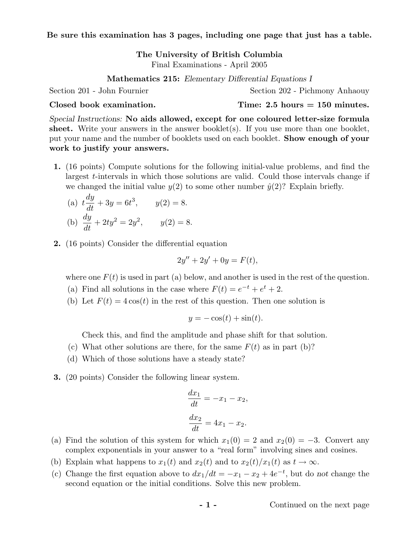Be sure this examination has 3 pages, including one page that just has a table.

The University of British Columbia Final Examinations - April 2005

Mathematics 215: Elementary Differential Equations I

Section 201 - John Fournier Section 202 - Pichmony Anhaouy

 $\text{Closed book examination.}$  Time: 2.5 hours = 150 minutes.

Special Instructions: No aids allowed, except for one coloured letter-size formula sheet. Write your answers in the answer booklet(s). If you use more than one booklet, put your name and the number of booklets used on each booklet. Show enough of your work to justify your answers.

- 1. (16 points) Compute solutions for the following initial-value problems, and find the largest t-intervals in which those solutions are valid. Could those intervals change if we changed the initial value  $y(2)$  to some other number  $\hat{y}(2)$ ? Explain briefly.
	- $(a) t$ dy  $\frac{dy}{dt} + 3y = 6t^3$ ,  $y(2) = 8$ . (b)  $\frac{dy}{dt} + 2ty^2 = 2y^2$ ,  $y(2) = 8$ .
- 2. (16 points) Consider the differential equation

$$
2y'' + 2y' + 0y = F(t),
$$

where one  $F(t)$  is used in part (a) below, and another is used in the rest of the question.

- (a) Find all solutions in the case where  $F(t) = e^{-t} + e^{t} + 2$ .
- (b) Let  $F(t) = 4\cos(t)$  in the rest of this question. Then one solution is

$$
y = -\cos(t) + \sin(t).
$$

Check this, and find the amplitude and phase shift for that solution.

- (c) What other solutions are there, for the same  $F(t)$  as in part (b)?
- (d) Which of those solutions have a steady state?
- 3. (20 points) Consider the following linear system.

$$
\frac{dx_1}{dt} = -x_1 - x_2,
$$
  

$$
\frac{dx_2}{dt} = 4x_1 - x_2.
$$

- (a) Find the solution of this system for which  $x_1(0) = 2$  and  $x_2(0) = -3$ . Convert any complex exponentials in your answer to a "real form" involving sines and cosines.
- (b) Explain what happens to  $x_1(t)$  and  $x_2(t)$  and to  $x_2(t)/x_1(t)$  as  $t \to \infty$ .
- (c) Change the first equation above to  $dx_1/dt = -x_1 x_2 + 4e^{-t}$ , but do not change the second equation or the initial conditions. Solve this new problem.

- 1 - Continued on the next page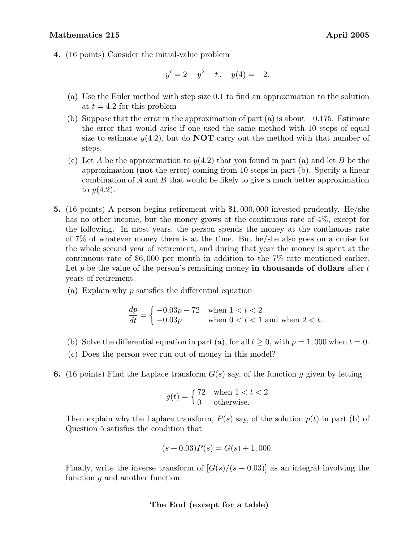## Mathematics 215 **April 2005**

4. (16 points) Consider the initial-value problem

$$
y' = 2 + y^2 + t, \quad y(4) = -2.
$$

- (a) Use the Euler method with step size 0.1 to find an approximation to the solution at  $t = 4.2$  for this problem
- (b) Suppose that the error in the approximation of part (a) is about  $-0.175$ . Estimate the error that would arise if one used the same method with 10 steps of equal size to estimate  $y(4.2)$ , but do **NOT** carry out the method with that number of steps.
- (c) Let A be the approximation to  $y(4.2)$  that you found in part (a) and let B be the approximation (not the error) coming from 10 steps in part (b). Specify a linear combination of A and B that would be likely to give a much better approximation to  $y(4.2)$ .
- 5. (16 points) A person begins retirement with \$1, 000, 000 invested prudently. He/she has no other income, but the money grows at the continuous rate of 4%, except for the following. In most years, the person spends the money at the continuous rate of 7% of whatever money there is at the time. But he/she also goes on a cruise for the whole second year of retirement, and during that year the money is spent at the continuous rate of \$6, 000 per month in addition to the 7% rate mentioned earlier. Let p be the value of the person's remaining money in thousands of dollars after  $t$ years of retirement.
	- (a) Explain why p satisfies the differential equation

$$
\frac{dp}{dt} = \begin{cases}\n-0.03p - 72 & \text{when } 1 < t < 2 \\
-0.03p & \text{when } 0 < t < 1 \text{ and when } 2 < t.\n\end{cases}
$$

- (b) Solve the differential equation in part (a), for all  $t \geq 0$ , with  $p = 1,000$  when  $t = 0$ .
- (c) Does the person ever run out of money in this model?
- **6.** (16 points) Find the Laplace transform  $G(s)$  say, of the function g given by letting

$$
g(t) = \begin{cases} 72 & \text{when } 1 < t < 2 \\ 0 & \text{otherwise.} \end{cases}
$$

Then explain why the Laplace transform,  $P(s)$  say, of the solution  $p(t)$  in part (b) of Question 5 satisfies the condition that

$$
(s+0.03)P(s) = G(s) + 1,000.
$$

Finally, write the inverse transform of  $[G(s)/(s+0.03)]$  as an integral involving the function g and another function.

## The End (except for a table)